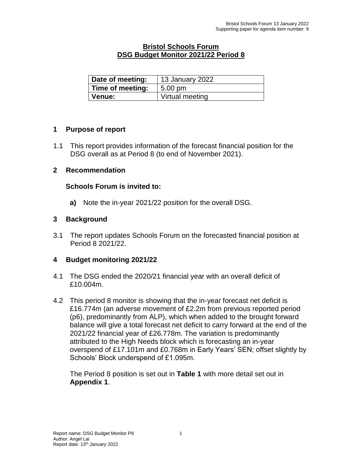## **Bristol Schools Forum DSG Budget Monitor 2021/22 Period 8**

| Date of meeting: | 13 January 2022   |
|------------------|-------------------|
| Time of meeting: | $5.00 \text{ pm}$ |
| ∣ Venue:         | Virtual meeting   |

## **1 Purpose of report**

1.1 This report provides information of the forecast financial position for the DSG overall as at Period 8 (to end of November 2021).

#### **2 Recommendation**

## **Schools Forum is invited to:**

**a)** Note the in-year 2021/22 position for the overall DSG.

#### **3 Background**

3.1 The report updates Schools Forum on the forecasted financial position at Period 8 2021/22.

## **4 Budget monitoring 2021/22**

- 4.1 The DSG ended the 2020/21 financial year with an overall deficit of £10.004m.
- 4.2 This period 8 monitor is showing that the in-year forecast net deficit is £16.774m (an adverse movement of £2.2m from previous reported period (p6), predominantly from ALP), which when added to the brought forward balance will give a total forecast net deficit to carry forward at the end of the 2021/22 financial year of £26.778m. The variation is predominantly attributed to the High Needs block which is forecasting an in-year overspend of £17.101m and £0.768m in Early Years' SEN; offset slightly by Schools' Block underspend of £1.095m.

The Period 8 position is set out in **Table 1** with more detail set out in **Appendix 1**.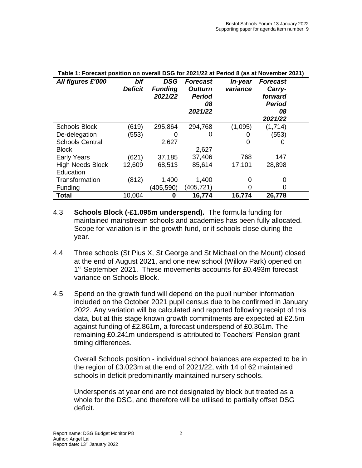| Table 1: Forecast position on overall DSG for 2021/22 at Period 8 (as at November 2021) |                       |                                  |                                                              |                            |                                                                        |  |
|-----------------------------------------------------------------------------------------|-----------------------|----------------------------------|--------------------------------------------------------------|----------------------------|------------------------------------------------------------------------|--|
| All figures £'000                                                                       | b/f<br><b>Deficit</b> | DSG<br><b>Funding</b><br>2021/22 | <b>Forecast</b><br><b>Outturn</b><br>Period<br>08<br>2021/22 | <i>In-year</i><br>variance | <b>Forecast</b><br>Carry-<br>forward<br><b>Period</b><br>08<br>2021/22 |  |
| <b>Schools Block</b>                                                                    | (619)                 | 295,864                          | 294,768                                                      | (1,095)                    | (1,714)                                                                |  |
| De-delegation                                                                           | (553)                 |                                  | O                                                            | O                          | (553)                                                                  |  |
| <b>Schools Central</b>                                                                  |                       | 2,627                            |                                                              | O                          | O                                                                      |  |
| <b>Block</b>                                                                            |                       |                                  | 2,627                                                        |                            |                                                                        |  |
| <b>Early Years</b>                                                                      | (621)                 | 37,185                           | 37,406                                                       | 768                        | 147                                                                    |  |
| <b>High Needs Block</b>                                                                 | 12,609                | 68,513                           | 85,614                                                       | 17,101                     | 28,898                                                                 |  |
| Education                                                                               |                       |                                  |                                                              |                            |                                                                        |  |
| Transformation                                                                          | (812)                 | 1,400                            | 1,400                                                        | O                          | 0                                                                      |  |
| Funding                                                                                 |                       | (405, 590)                       | (405,721)                                                    | 0                          | 0                                                                      |  |
| <b>Total</b>                                                                            | 10,004                | 0                                | 16,774                                                       | 16,774                     | 26,778                                                                 |  |

- 4.3 **Schools Block (-£1.095m underspend).** The formula funding for maintained mainstream schools and academies has been fully allocated. Scope for variation is in the growth fund, or if schools close during the year.
- 4.4 Three schools (St Pius X, St George and St Michael on the Mount) closed at the end of August 2021, and one new school (Willow Park) opened on 1<sup>st</sup> September 2021. These movements accounts for £0.493m forecast variance on Schools Block.
- 4.5 Spend on the growth fund will depend on the pupil number information included on the October 2021 pupil census due to be confirmed in January 2022. Any variation will be calculated and reported following receipt of this data, but at this stage known growth commitments are expected at £2.5m against funding of £2.861m, a forecast underspend of £0.361m. The remaining £0.241m underspend is attributed to Teachers' Pension grant timing differences.

Overall Schools position - individual school balances are expected to be in the region of £3.023m at the end of 2021/22, with 14 of 62 maintained schools in deficit predominantly maintained nursery schools.

Underspends at year end are not designated by block but treated as a whole for the DSG, and therefore will be utilised to partially offset DSG deficit.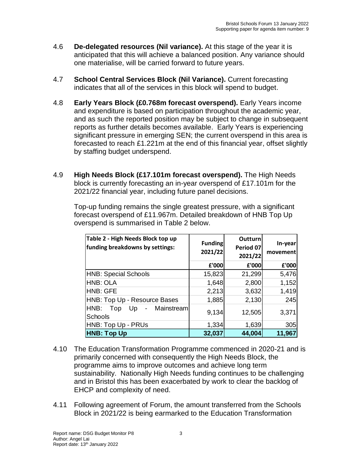- 4.6 **De-delegated resources (Nil variance).** At this stage of the year it is anticipated that this will achieve a balanced position. Any variance should one materialise, will be carried forward to future years.
- 4.7 **School Central Services Block (Nil Variance).** Current forecasting indicates that all of the services in this block will spend to budget.
- 4.8 **Early Years Block (£0.768m forecast overspend).** Early Years income and expenditure is based on participation throughout the academic year, and as such the reported position may be subject to change in subsequent reports as further details becomes available. Early Years is experiencing significant pressure in emerging SEN; the current overspend in this area is forecasted to reach £1.221m at the end of this financial year, offset slightly by staffing budget underspend.
- 4.9 **High Needs Block (£17.101m forecast overspend).** The High Needs block is currently forecasting an in-year overspend of £17.101m for the 2021/22 financial year, including future panel decisions.

Top-up funding remains the single greatest pressure, with a significant forecast overspend of £11.967m. Detailed breakdown of HNB Top Up overspend is summarised in Table 2 below.

| Table 2 - High Needs Block top up<br>funding breakdowns by settings:          | <b>Funding</b><br>2021/22 | Outturn<br>Period 07<br>2021/22 | In-year<br>movementl |
|-------------------------------------------------------------------------------|---------------------------|---------------------------------|----------------------|
|                                                                               | £'000                     | £'000                           | £'000                |
| <b>HNB: Special Schools</b>                                                   | 15,823                    | 21,299                          | 5,476                |
| <b>HNB: OLA</b>                                                               | 1,648                     | 2,800                           | 1,152                |
| <b>HNB: GFE</b>                                                               | 2,213                     | 3,632                           | 1,419                |
| HNB: Top Up - Resource Bases                                                  | 1,885                     | 2,130                           | 245                  |
| HNB:<br>Mainstream<br>Up<br>Top<br>$\overline{\phantom{a}}$<br><b>Schools</b> | 9,134                     | 12,505                          | 3,371                |
| HNB: Top Up - PRUs                                                            | 1,334                     | 1,639                           | 305                  |
| <b>HNB: Top Up</b>                                                            | 32,037                    | 44,004                          | 11,967               |

- 4.10 The Education Transformation Programme commenced in 2020-21 and is primarily concerned with consequently the High Needs Block, the programme aims to improve outcomes and achieve long term sustainability. Nationally High Needs funding continues to be challenging and in Bristol this has been exacerbated by work to clear the backlog of EHCP and complexity of need.
- 4.11 Following agreement of Forum, the amount transferred from the Schools Block in 2021/22 is being earmarked to the Education Transformation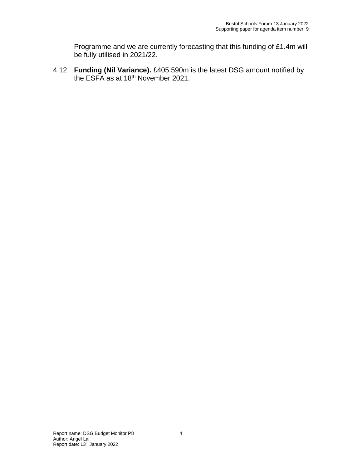Programme and we are currently forecasting that this funding of £1.4m will be fully utilised in 2021/22.

4.12 **Funding (Nil Variance).** £405.590m is the latest DSG amount notified by the ESFA as at 18<sup>th</sup> November 2021.